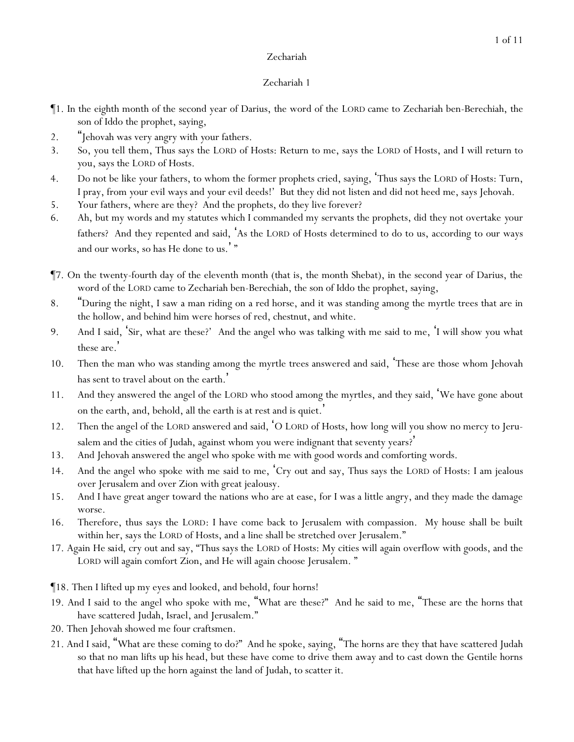- ¶1. In the eighth month of the second year of Darius, the word of the LORD came to Zechariah ben-Berechiah, the son of Iddo the prophet, saying,
- 2. "Jehovah was very angry with *y*our fathers.
- 3. So, you tell them, Thus says the LORD of Hosts: Return to me, says the LORD of Hosts, and I will return to *y*ou, says the LORD of Hosts.
- 4. Do not be like *y*our fathers, to whom the former prophets cried, saying, 'Thus says the LORD of Hosts: Turn, I pray, from *y*our evil ways and *y*our evil deeds!' But they did not listen and did not heed me, says Jehovah.
- 5. *Y*our fathers, where are they? And the prophets, do they live forever?
- 6. Ah, but my words and my statutes which I commanded my servants the prophets, did they not overtake *y*our fathers? And they repented and said, 'As the LORD of Hosts determined to do to us, according to our ways and our works, so has He done to us.'"
- ¶7. On the twenty-fourth day of the eleventh month (that is, the month Shebat), in the second year of Darius, the word of the LORD came to Zechariah ben-Berechiah, the son of Iddo the prophet, saying,
- 8. "During the night, I saw a man riding on a red horse, and it was standing among the myrtle trees that are in the hollow, and behind him were horses of red, chestnut, and white.
- 9. And I said, 'Sir, what are these?' And the angel who was talking with me said to me, 'I will show you what these are. '
- 10. Then the man who was standing among the myrtle trees answered and said, 'These are those whom Jehovah has sent to travel about on the earth.'
- 11. And they answered the angel of the LORD who stood among the myrtles, and they said, 'We have gone about on the earth, and, behold, all the earth is at rest and is quiet.'
- 12. Then the angel of the LORD answered and said, 'O LORD of Hosts, how long will you show no mercy to Jerusalem and the cities of Judah, against whom you were indignant that seventy years?'
- 13. And Jehovah answered the angel who spoke with me with good words and comforting words.
- 14. And the angel who spoke with me said to me, 'Cry out and say, Thus says the LORD of Hosts: I am jealous over Jerusalem and over Zion with great jealousy.
- 15. And I have great anger toward the nations who are at ease, for I was a little angry, and they made the damage worse.
- 16. Therefore, thus says the LORD: I have come back to Jerusalem with compassion. My house shall be built within her, says the LORD of Hosts, and a line shall be stretched over Jerusalem."
- 17. Again *He said*, cry out and say, "Thus says the LORD of Hosts: My cities will again overflow with goods, and the LORD will again comfort Zion, and He will again choose Jerusalem. "
- ¶18. Then I lifted up my eyes and looked, and behold, four horns!
- 19. And I said to the angel who spoke with me, "What are these?" And he said to me, "These are the horns that have scattered Judah, Israel, and Jerusalem."
- 20. Then Jehovah showed me four craftsmen.
- 21. And I said, "What are these coming to do?" And he spoke, saying, "The horns are they that have scattered Judah so that no man lifts up his head, but these have come to drive them away and to cast down the Gentile horns that have lifted up the horn against the land of Judah, to scatter it.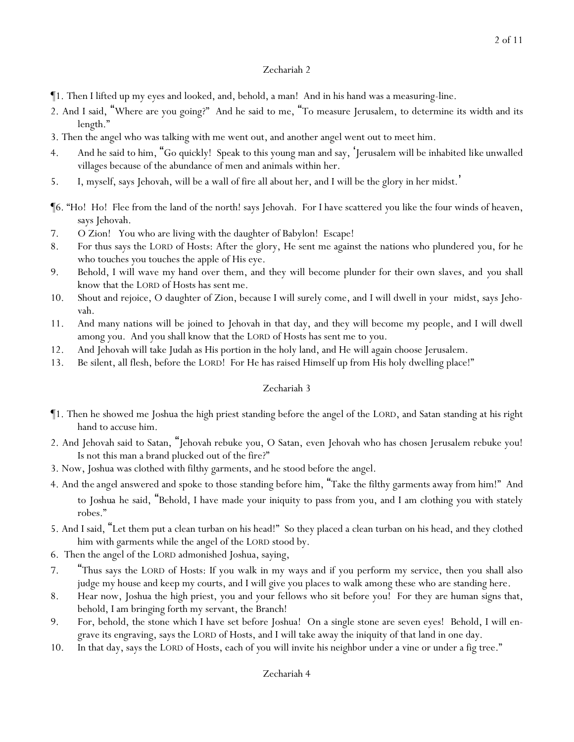- ¶1. Then I lifted up my eyes and looked, and, behold, a man! And in his hand was a measuring-line.
- 2. And I said, "Where are you going?" And he said to me, "To measure Jerusalem, to determine its width and its length."
- 3. Then the angel who was talking with me went out, and another angel went out to meet him.
- 4. And he said to him, "Go quickly! Speak to this young man and say, 'Jerusalem will be inhabited *like* unwalled villages because of the abundance of men and animals within her.
- 5. I, myself, says Jehovah, will be a wall of fire all about her, and I will be the glory in her midst.'
- ¶6. "Ho! Ho! Flee from the land of the north! says Jehovah. For I have scattered *y*ou like the four winds of heaven, says Jehovah.
- 7. O Zion! You who are living with the daughter of Babylon! Escape!
- 8. For thus says the LORD of Hosts: After the glory, He sent me against the nations who plundered *y*ou, for he who touches *y*ou touches the apple of His eye.
- 9. Behold, I will wave my hand over them, and they will become plunder for their own slaves, and *y*ou shall know that the LORD of Hosts has sent me.
- 10. Shout and rejoice, O daughter of Zion, because I will surely come, and I will dwell in your midst, says Jehovah.
- 11. And many nations will be joined to Jehovah in that day, and they will become my people, and I will dwell among you. And you shall know that the LORD of Hosts has sent me to you.
- 12. And Jehovah will take Judah as His portion in the holy land, and He will again choose Jerusalem.
- 13. Be silent, all flesh, before the LORD! For He has raised Himself up from His holy dwelling place!"

- ¶1. Then he showed me Joshua the high priest standing before the angel of the LORD, and Satan standing at his right hand to accuse him.
- 2. And Jehovah said to Satan, "Jehovah rebuke you, O Satan, even Jehovah who has chosen Jerusalem rebuke you! Is not this man a brand plucked out of the fire?"
- 3. Now, Joshua was clothed with filthy garments, and he stood before the angel.
- 4. And *the angel* answered and spoke to those standing before him, "Take the filthy garments away from him!" And to *Joshua* he said, "Behold, I have made your iniquity to pass from you, and I am clothing you with stately robes."
- 5. And I said, "Let them put a clean turban on his head!" So they placed a clean turban on his head, and they clothed him with garments while the angel of the LORD stood by.
- 6. Then the angel of the LORD admonished Joshua, saying,
- 7. "Thus says the LORD of Hosts: If you walk in my ways and if you perform my service, then you shall also judge my house and keep my courts, and I will give you places to walk among these who are standing here*.*
- 8. Hear now, Joshua the high priest, you and your fellows who sit before you! For they are human signs that, behold, I am bringing forth my servant, the Branch!
- 9. For, behold, the stone which I have set before Joshua! On a single stone are seven eyes! Behold, I will engrave its engraving, says the LORD of Hosts, and I will take away the iniquity of that land in one day.
- 10. In that day, says the LORD of Hosts, each of *y*ou will invite his neighbor under a vine or under a fig tree."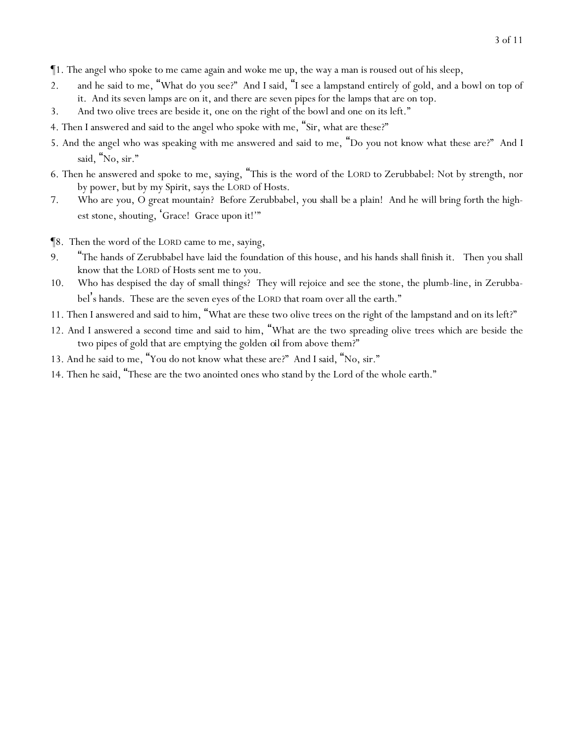- ¶1. The angel who spoke to me came again and woke me up, the way a man is roused out of his sleep,
- 2. and he said to me, "What do you see?" And I said, "I see a lampstand entirely of gold, and a bowl on top of it. And its seven lamps are on it, and there are seven pipes for the lamps that are on top.
- 3. And two olive trees are beside it, one on the right of the bowl and one on its left."
- 4. Then I answered and said to the angel who spoke with me, "Sir, what are these?"
- 5. And the angel who was speaking with me answered and said to me, "Do you not know what these are?" And I said, "No, sir."
- 6. Then he answered and spoke to me, saying, "This is the word of the LORD to Zerubbabel: Not by strength, nor by power, but by my Spirit, says the LORD of Hosts.
- 7. Who are you, O great mountain? Before Zerubbabel, *you shall be* a plain! And he will bring forth the highest stone, shouting, 'Grace! Grace upon it!'"
- ¶8. Then the word of the LORD came to me, saying,
- 9. "The hands of Zerubbabel have laid the foundation of this house, and his hands shall finish it. Then you shall know that the LORD of Hosts sent me to *y*ou.
- 10. Who has despised the day of small things? They will rejoice and see the stone, the plumb-line, in Zerubbabel's hands. These are the seven eyes of the LORD that roam over all the earth."
- 11. Then I answered and said to him, "What are these two olive trees on the right of the lampstand and on its left?"
- 12. And I answered a second time and said to him, "What are the two spreading olive trees which are beside the two pipes of gold that are emptying the golden *oil* from above them?"
- 13. And he said to me, "You do not know what these are?" And I said, "No, sir."
- 14. Then he said, "These are the two anointed ones who stand by the Lord of the whole earth."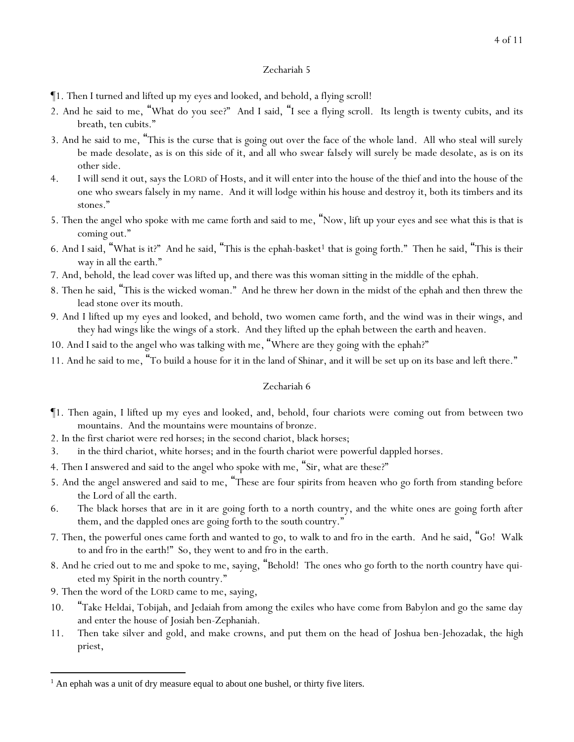- ¶1. Then I turned and lifted up my eyes and looked, and behold, a flying scroll!
- 2. And he said to me, "What do you see?" And I said, "I see a flying scroll. Its length is twenty cubits, and its breath, ten cubits."
- 3. And he said to me, "This is the curse that is going out over the face of the whole land. All who steal will surely be made desolate, as is on this side of it, and all who swear *falsely* will surely be made desolate, as is on its other side.
- 4. I will send it out, says the LORD of Hosts, and it will enter into the house of the thief and into the house of the one who swears falsely in my name. And it will lodge within his house and destroy it, both its timbers and its stones."
- 5. Then the angel who spoke with me came forth and said to me, "Now, lift up your eyes and see what this is that is coming out."
- 6. And I said, "What is it?" And he said, "This is the ephah-basket<sup>1</sup> that is going forth." Then he said, "This is their way in all the earth."
- 7. And, behold, the lead cover was lifted up, and there was this woman sitting in the middle of the ephah.
- 8. Then he said, "This is the wicked woman." And he threw her down in the midst of the ephah and then threw the lead stone over its mouth.
- 9. And I lifted up my eyes and looked, and behold, two women came forth, and the wind was in their wings, and they had wings like the wings of a stork. And they lifted up the ephah between the earth and heaven.
- 10. And I said to the angel who was talking with me, "Where are they going with the ephah?"
- 11. And he said to me, "To build a house for it in the land of Shinar, and it will be set up on its base and left there."

- ¶1. Then again, I lifted up my eyes and looked, and, behold, four chariots were coming out from between two mountains. And the mountains were mountains of bronze.
- 2. In the first chariot were red horses; in the second chariot, black horses;
- 3. in the third chariot, white horses; and in the fourth chariot were powerful dappled horses.
- 4. Then I answered and said to the angel who spoke with me, "Sir, what are these?"
- 5. And the angel answered and said to me, "These are four spirits from heaven who go forth from standing before the Lord of all the earth.
- 6. The black horses that are in it are going forth to a north country, and the white ones are going forth after them, and the dappled ones are going forth to the south country."
- 7. Then, the powerful ones came forth and wanted to go, to walk to and fro in the earth. And he said, "Go! Walk to and fro in the earth!" So, they went to and fro in the earth.
- 8. And he cried out to me and spoke to me, saying, "Behold! The ones who go forth to the north country have quieted my Spirit in the north country."
- 9. Then the word of the LORD came to me, saying,
- 10. "Take Heldai, Tobijah, and Jedaiah from among the exiles who have come from Babylon and go the same day and enter the house of Josiah ben-Zephaniah.
- 11. Then take silver and gold, and make crowns, and put *them* on the head of Joshua ben-Jehozadak, the high priest,

 $<sup>1</sup>$  An ephah was a unit of dry measure equal to about one bushel, or thirty five liters.</sup>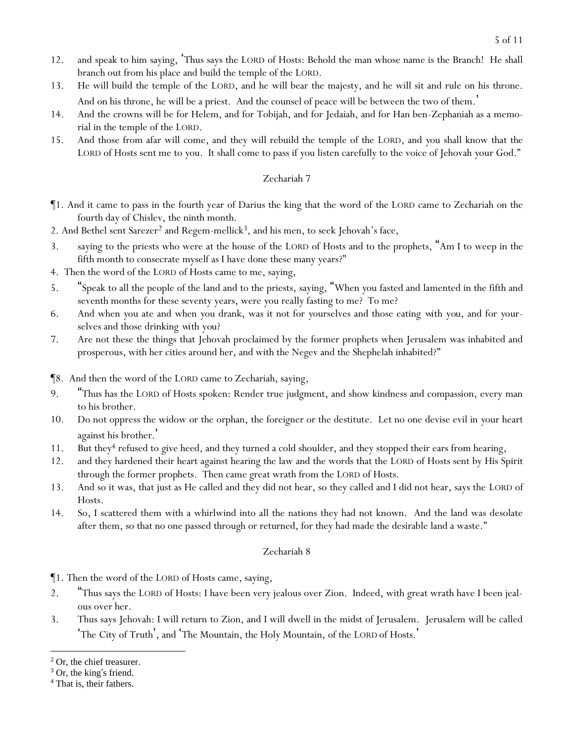- 12. and speak to him saying, 'Thus says the LORD of Hosts: Behold the man whose name is the Branch! He shall branch out from his place and build the temple of the LORD.
- 13. He will build the temple of the LORD, and he will bear the majesty, and he will sit and rule on his throne. And on his throne, he will be a priest. And the counsel of peace will be between the two of them. '
- 14. And the crowns will be for Helem, and for Tobijah, and for Jedaiah, and for Han ben-Zephaniah as a memorial in the temple of the LORD.
- 15. And those from afar will come, and they will rebuild the temple of the LORD, and *y*ou shall know that the LORD of Hosts sent me to *y*ou. It shall come to pass if *y*ou listen carefully to the voice of Jehovah *y*our God."

- ¶1. And it came to pass in the fourth year of Darius the king that the word of the LORD came to Zechariah on the fourth day of Chislev, the ninth month.
- 2. And Bethel sent Sarezer<sup>2</sup> and Regem-mellick<sup>3</sup>, and his men, to seek Jehovah's face,
- 3. saying to the priests who were at the house of the LORD of Hosts and to the prophets, "Am I to weep in the fifth month to consecrate myself as I have done these many years?"
- 4. Then the word of the LORD of Hosts came to me, saying,
- 5. "Speak to all the people of the land and to the priests, saying, "When *y*ou fasted and lamented in the fifth and seventh months for these seventy years, were *y*ou really fasting to me? To me?
- 6. And when *y*ou ate and when *y*ou drank, was it not for *y*ourselves and those eating *with you,* and for *y*ourselves and those drinking *with you*?
- 7. Are not these the things that Jehovah proclaimed by the former prophets when Jerusalem was inhabited and prosperous, with her cities around her, and with the Negev and the Shephelah inhabited?"
- ¶8. And then the word of the LORD came to Zechariah, saying,
- 9. "Thus has the LORD of Hosts spoken: Render true judgment, and show kindness and compassion, every man to his brother.
- 10. Do not oppress the widow or the orphan, the foreigner or the destitute. Let no one devise evil in *y*our heart against his brother. '
- 11. But they<sup>4</sup> refused to give heed, and they turned a cold shoulder, and they stopped their ears from hearing,
- 12. and they hardened their heart against hearing the law and the words that the LORD of Hosts sent by His Spirit through the former prophets. Then came great wrath from the LORD of Hosts.
- 13. And so it was, that just as He called and they did not hear, so they called and I did not hear, says the LORD of Hosts.
- 14. So, I scattered them with a whirlwind into all the nations they had not known. And the land was desolate after them, so that no one passed through or returned, for they had made the desirable land a waste."

### Zechariah 8

¶1. Then the word of the LORD of Hosts came, saying,

- 2. "Thus says the LORD of Hosts: I have been very jealous over Zion. Indeed, with great wrath have I been jealous over her.
- 3. Thus says Jehovah: I will return to Zion, and I will dwell in the midst of Jerusalem. Jerusalem will be called 'The City of Truth', and 'The Mountain, the Holy Mountain, of the LORD of Hosts.'

<sup>2</sup> Or, the chief treasurer.

 $3$  Or, the king's friend.

<sup>4</sup> That is, their fathers.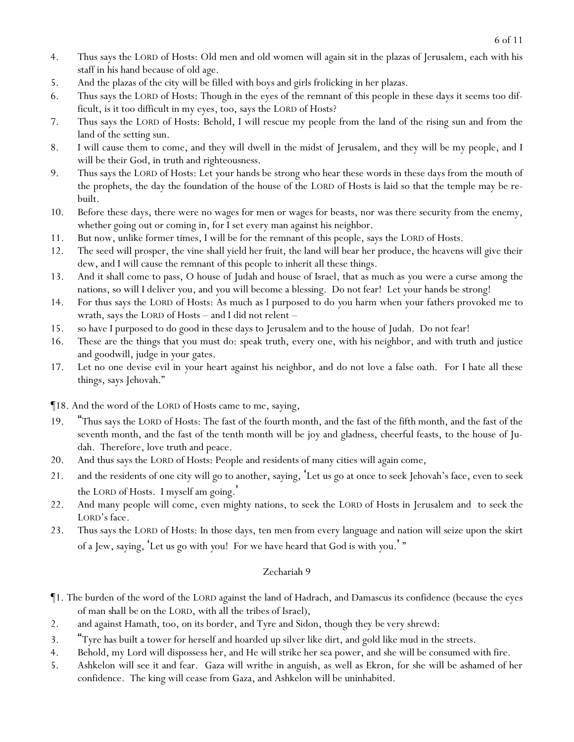- 4. Thus says the LORD of Hosts: Old men and old women will again sit in the plazas of Jerusalem, each with his staff in his hand because of old age.
- 5. And the plazas of the city will be filled with boys and girls frolicking in her plazas.
- 6. Thus says the LORD of Hosts: Though in the eyes of the remnant of this people in these days it seems too difficult, is it too difficult in my eyes, too, says the LORD of Hosts?
- 7. Thus says the LORD of Hosts: Behold, I will rescue my people from the land of the rising sun and from the land of the setting sun.
- 8. I will cause them to come, and they will dwell in the midst of Jerusalem, and they will be my people, and I will be their God, in truth and righteousness.
- 9. Thus says the LORD of Hosts: Let *y*our hands be strong who hear these words in these days from the mouth of the prophets, the day the foundation of the house of the LORD of Hosts is laid so that the temple may be rebuilt.
- 10. Before these days, there were no wages for men or wages for beasts, nor was there security from the enemy, whether going out or coming in, for I set every man against his neighbor.
- 11. But now, unlike former times, I will be for the remnant of this people, says the LORD of Hosts.
- 12. The seed will prosper, the vine shall yield her fruit, the land will bear her produce, the heavens will give their dew, and I will cause the remnant of this people to inherit all these things.
- 13. And it shall come to pass, O house of Judah and house of Israel, that as much as *y*ou were a curse among the nations, so will I deliver *y*ou, and *y*ou will become a blessing. Do not fear! Let *y*our hands be strong!
- 14. For thus says the LORD of Hosts: As much as I purposed to do *y*ou harm when *y*our fathers provoked me to wrath, says the LORD of Hosts – and I did not relent –
- 15. so have I purposed to do good in these days to Jerusalem and to the house of Judah. Do not fear!
- 16. These are the things that you must do: speak truth, every one, with his neighbor, and with truth and justice and goodwill, judge in *y*our gates.
- 17. Let no one devise evil in *y*our heart against his neighbor, and do not love a false oath. For I hate all these things, says Jehovah."
- ¶18. And the word of the LORD of Hosts came to me, saying,
- 19. "Thus says the LORD of Hosts: The fast of the fourth month, and the fast of the fifth month, and the fast of the seventh month, and the fast of the tenth month will be joy and gladness, cheerful feasts, to the house of Judah. Therefore, love truth and peace.
- 20. And thus says the LORD of Hosts: People and residents of many cities will again come,
- 21. and the residents of one city will go to another, saying, 'Let us go at once to seek Jehovah's face, even to seek the LORD of Hosts. I myself am going. '
- 22. And many people will come, even mighty nations, to seek the LORD of Hosts in Jerusalem and to seek the LORD's face.
- 23. Thus says the LORD of Hosts: In those days, ten men from every language and nation will seize upon the skirt of a Jew, saying, 'Let us go with *y*ou! For we have heard that God is with *y*ou.' "

- ¶1. The burden of the word of the LORD against the land of Hadrach, and Damascus its confidence (because the eyes of man *shall be* on the LORD, with all the tribes of Israel),
- 2. and against Hamath, too, on its border, *and* Tyre and Sidon, though *they be* very shrewd:
- <sup>4</sup>Tyre has built a tower for herself and hoarded up silver like dirt, and gold like mud in the streets.
- 4. Behold, my Lord will dispossess her, and He will strike her sea power, and she will be consumed with fire.
- 5. Ashkelon will see it and fear. Gaza will writhe in anguish, as well as Ekron, for she will be ashamed of her confidence. The king will cease from Gaza, and Ashkelon will be uninhabited.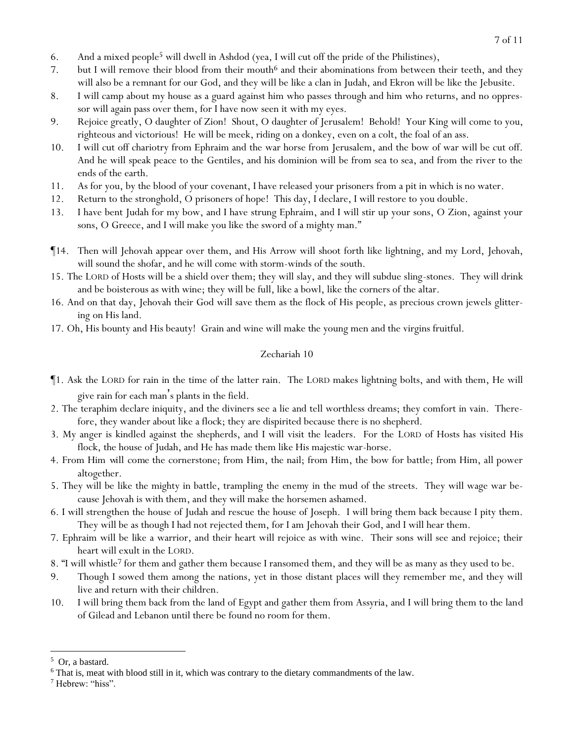- 6. And a mixed people<sup>5</sup> will dwell in Ashdod (yea, I will cut off the pride of the Philistines),
- 7. but I will remove their blood from their mouth<sup>6</sup> and their abominations from between their teeth, and they will also be a remnant for our God, and they will be like a clan in Judah, and Ekron will be like the Jebusite.
- 8. I will camp about my house as a guard against him who passes through and him who returns, and no oppressor will again pass over them, for I have now seen it with my eyes.
- 9. Rejoice greatly, O daughter of Zion! Shout, O daughter of Jerusalem! Behold! Your King will come to you, righteous and victorious! He will be meek, riding on a donkey, even on a colt, the foal of an ass.
- 10. I will cut off chariotry from Ephraim and the war horse from Jerusalem, and the bow of war will be cut off. And he will speak peace to the Gentiles, and his dominion will be from sea to sea, and from the river to the ends of the earth.
- 11. As for you, by the blood of your covenant, I have released your prisoners from a pit in which is no water.
- 12. Return to the stronghold, O prisoners of hope! This day, I declare, I will restore to you double.
- 13. I have bent Judah for my bow, and I have strung Ephraim, and I will stir up your sons, O Zion, against your sons, O Greece, and I will make you like the sword of a mighty man."
- ¶14. Then will Jehovah appear over them, and His Arrow will shoot forth like lightning, and my Lord, Jehovah, will sound the shofar, and he will come with storm-winds of the south.
- 15. The LORD of Hosts will be a shield over them; they will slay, and they will subdue sling-stones. They will drink and be boisterous as with wine; they will be full, like a bowl, like the corners of the altar.
- 16. And on that day, Jehovah their God will save them as the flock of His people, as precious crown jewels glittering on His land.
- 17. Oh, His bounty and His beauty! Grain and wine will make the young men and the virgins fruitful.

- ¶1. Ask the LORD for rain in the time of the latter rain. The LORD makes lightning bolts, and with them, He will give rain for each man's plants in the field.
- 2. The teraphim declare iniquity, and the diviners see a lie and tell worthless dreams; they comfort in vain. Therefore, they wander about like a flock; they are dispirited because there is no shepherd.
- 3. My anger is kindled against the shepherds, and I will visit the leaders. For the LORD of Hosts has visited His flock, the house of Judah, and He has made them like His majestic war-horse.
- 4. From Him *will come* the cornerstone; from Him, the nail; from Him, the bow for battle; from Him, all power altogether.
- 5. They will be like the mighty in battle, trampling *the enemy* in the mud of the streets. They will wage war because Jehovah is with them, and they will make the horsemen ashamed.
- 6. I will strengthen the house of Judah and rescue the house of Joseph. I will bring them back because I pity them. They will be as though I had not rejected them, for I am Jehovah their God, and I will hear them.
- 7. Ephraim will be like a warrior, and their heart will rejoice as with wine. Their sons will see and rejoice; their heart will exult in the LORD.
- 8. "I will whistle<sup>7</sup> for them and gather them because I ransomed them, and they will be as many as they used to be.
- 9. Though I sowed them among the nations, yet in those distant places will they remember me, and they will live and return with their children.
- 10. I will bring them back from the land of Egypt and gather them from Assyria, and I will bring them to the land of Gilead and Lebanon until there be found no room for them.

<sup>5</sup> Or, a bastard.

<sup>6</sup> That is, meat with blood still in it, which was contrary to the dietary commandments of the law.

<sup>7</sup> Hebrew: "hiss".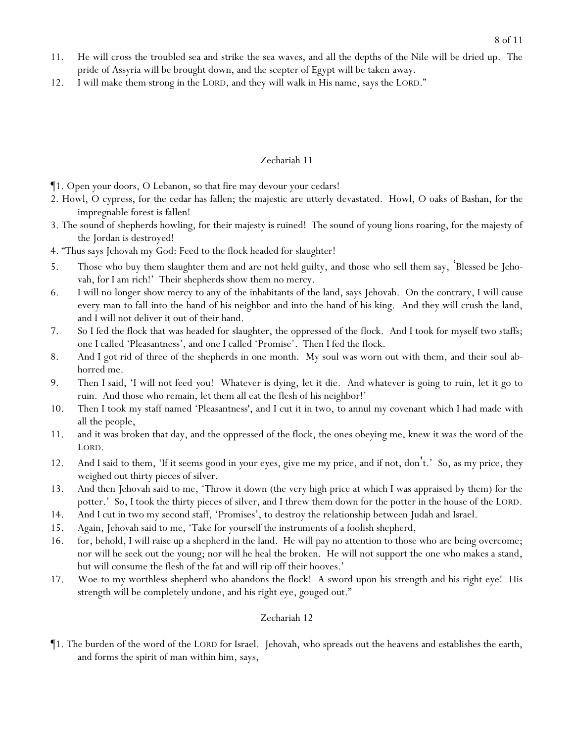- 11. He will cross the troubled sea and strike the sea waves, and all the depths of the Nile will be dried up. The pride of Assyria will be brought down, and the scepter of Egypt will be taken away.
- 12. I will make them strong in the LORD, and they will walk in His name, says the LORD."

- ¶1. Open your doors, O Lebanon, so that fire may devour your cedars!
- 2. Howl, O cypress, for the cedar has fallen; the majestic are utterly devastated. Howl, O oaks of Bashan, for the impregnable forest is fallen!
- 3. The sound of shepherds howling, for their majesty is ruined! The sound of young lions roaring, for the majesty of the Jordan is destroyed!
- 4. "Thus says Jehovah my God: Feed to the flock headed for slaughter!
- 5. Those who buy them slaughter them and are not held guilty, and those who sell them say, 'Blessed be Jehovah, for I am rich!' Their shepherds show them no mercy.
- 6. I will no longer show mercy to any of the inhabitants of the land, says Jehovah. On the contrary, I will cause every man to fall into the hand of his neighbor and into the hand of his king. And they will crush the land, and I will not deliver it out of their hand.
- 7. So I fed the flock that was headed for slaughter, the oppressed of the flock. And I took for myself two staffs; one I called 'Pleasantness', and one I called 'Promise'. Then I fed the flock.
- 8. And I got rid of three of the shepherds in one month. My soul was worn out with them, and their soul abhorred me.
- 9. Then I said, 'I will not feed *y*ou! Whatever is dying, let it die. And whatever is going to ruin, let it go to ruin. And those who remain, let them all eat the flesh of his neighbor!'
- 10. Then I took my staff named 'Pleasantness', and I cut it in two, to annul my covenant which I had made with all the people,
- 11. and it was broken that day, and the oppressed of the flock, the ones obeying me, knew it was the word of the LORD.
- 12. And I said to them, 'If it seems good in *y*our eyes, give me my price, and if not, don't.' So, as my price, they weighed out thirty pieces of silver.
- 13. And then Jehovah said to me, 'Throw it down (the very high price at which I was appraised by them) for the potter.' So, I took the thirty pieces of silver, and I threw them down for the potter in the house of the LORD.
- 14. And I cut in two my second staff, 'Promises', to destroy the relationship between Judah and Israel.
- 15. Again, Jehovah said to me, 'Take for yourself the instruments of a foolish shepherd,
- 16. for, behold, I will raise up a shepherd in the land. He will pay no attention to those who are being overcome; nor will he seek out the young; nor will he heal the broken. He will not support the one who makes a stand, but will consume the flesh of the fat and will rip off their hooves.'
- 17. Woe to my worthless shepherd who abandons the flock! A sword upon his strength and his right eye! His strength will be completely undone, and his right eye, gouged out."

#### Zechariah 12

¶1. The burden of the word of the LORD for Israel. Jehovah, who spreads out the heavens and establishes the earth, and forms the spirit of man within him, says,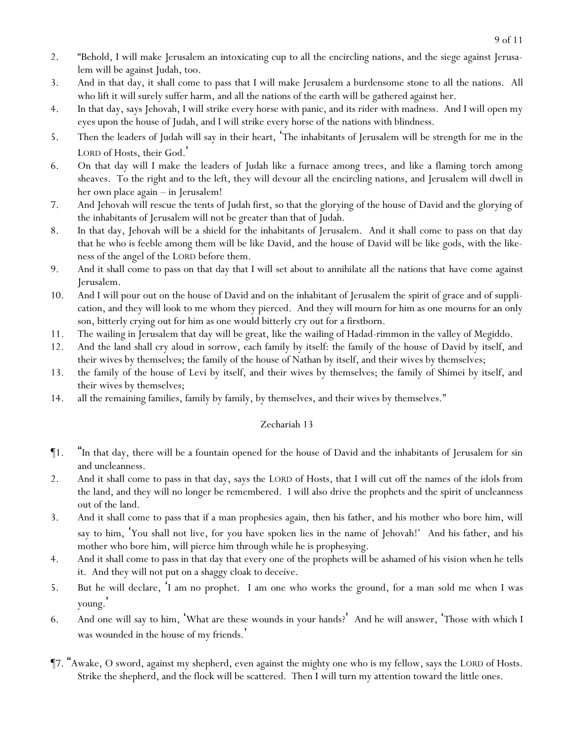- 2. "Behold, I will make Jerusalem an intoxicating cup to all the encircling nations, and the siege against Jerusalem will be against Judah, too.
- 3. And in that day, it shall come to pass that I will make Jerusalem a burdensome stone to all the nations. All who lift it will surely suffer harm, and all the nations of the earth will be gathered against her.
- 4. In that day, says Jehovah, I will strike every horse with panic, and its rider with madness. And I will open my eyes upon the house of Judah, and I will strike every horse of the nations with blindness.
- 5. Then the leaders of Judah will say in their heart, 'The inhabitants of Jerusalem will be strength for me in the LORD of Hosts, their God.
- 6. On that day will I make the leaders of Judah like a furnace among trees, and like a flaming torch among sheaves. To the right and to the left, they will devour all the encircling nations, and Jerusalem will dwell in her own place again – in Jerusalem!
- 7. And Jehovah will rescue the tents of Judah first, so that the glorying of the house of David and the glorying of the inhabitants of Jerusalem will not be greater than that of Judah.
- 8. In that day, Jehovah will be a shield for the inhabitants of Jerusalem. And it shall come to pass on that day that he who is feeble among them will be like David, and the house of David will be like gods, with the likeness of the angel of the LORD before them.
- 9. And it shall come to pass on that day that I will set about to annihilate all the nations that have come against Jerusalem.
- 10. And I will pour out on the house of David and on the inhabitant of Jerusalem the spirit of grace and of supplication, and they will look to me whom they pierced. And they will mourn for him as one mourns for an only son, bitterly crying out for him as one would bitterly cry out for a firstborn.
- 11. The wailing in Jerusalem that day will be great, like the wailing of Hadad-rimmon in the valley of Megiddo.
- 12. And the land shall cry aloud in sorrow, each family by itself: the family of the house of David by itself, and their wives by themselves; the family of the house of Nathan by itself, and their wives by themselves;
- 13. the family of the house of Levi by itself, and their wives by themselves; the family of Shimei by itself, and their wives by themselves;
- 14. all the remaining families, family by family, by themselves, and their wives by themselves."

- ¶1. "In that day, there will be a fountain opened for the house of David and the inhabitants of Jerusalem for sin and uncleanness.
- 2. And it shall come to pass in that day, says the LORD of Hosts, that I will cut off the names of the idols from the land, and they will no longer be remembered. I will also drive the prophets and the spirit of uncleanness out of the land.
- 3. And it shall come to pass that if a man prophesies again, then his father, and his mother who bore him, will say to him, 'You shall not live, for you have spoken lies in the name of Jehovah!' And his father, and his mother who bore him, will pierce him through while he is prophesying.
- 4. And it shall come to pass in that day that every one of the prophets will be ashamed of his vision when he tells it. And they will not put on a shaggy cloak to deceive.
- 5. But he will declare, 'I am no prophet. I am one who works the ground, for a man sold me when I was young. '
- 6. And one will say to him, 'What are these wounds in your hands?' And he will answer, 'Those with which I was wounded in the house of my friends.'
- ¶7. "Awake, O sword, against my shepherd, even against the mighty one who is my fellow, says the LORD of Hosts. Strike the shepherd, and the flock will be scattered. Then I will turn my attention toward the little ones.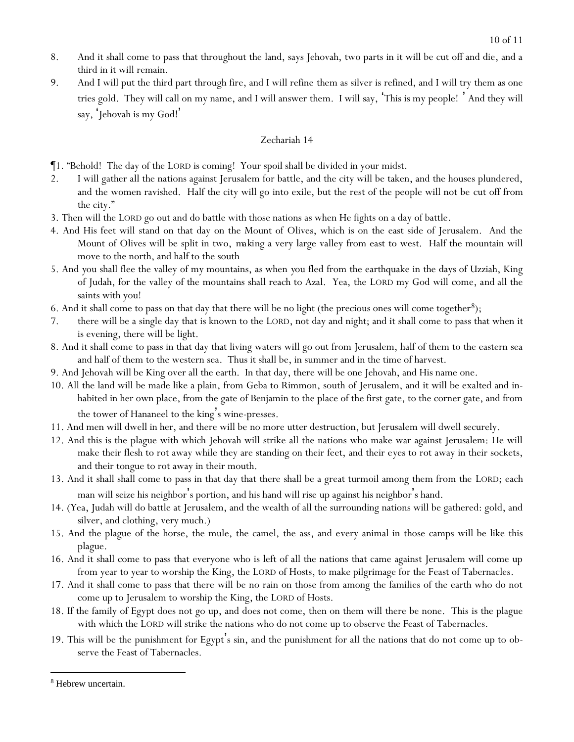- 8. And it shall come to pass that throughout the land, says Jehovah, two parts in it will be cut off and die, and a third in it will remain.
- 9. And I will put the third part through fire, and I will refine them as silver is refined, and I will try them as one tries gold. They will call on my name, and I will answer them. I will say, 'This is my people! ' And they will say, 'Jehovah is my God! '

- ¶1. "Behold! The day of the LORD is coming! Your spoil shall be divided in your midst.
- 2. I will gather all the nations against Jerusalem for battle, and the city will be taken, and the houses plundered, and the women ravished. Half the city will go into exile, but the rest of the people will not be cut off from the city."
- 3. Then will the LORD go out and do battle with those nations as when He fights on a day of battle.
- 4. And His feet will stand on that day on the Mount of Olives, which is on the east side of Jerusalem. And the Mount of Olives will be split in two, *making* a very large valley from east to west. Half the mountain will move to the north, and half to the south
- 5. And *y*ou shall flee the valley of my mountains, as when *y*ou fled from the earthquake in the days of Uzziah, King of Judah, for the valley of the mountains shall reach to Azal. Yea, the LORD my God will come, *and* all the saints with you!
- 6. And it shall come to pass on that day that there will be no light (the precious ones will come together<sup>8</sup>);
- 7. there will be a single day that is known to the LORD, not day and night; and it shall come to pass that when it is evening, there will be light.
- 8. And it shall come to pass in that day that living waters will go out from Jerusalem, half of them to the eastern sea and half of them to the western sea. Thus it shall be, in summer and in the time of harvest.
- 9. And Jehovah will be King over all the earth. In that day, there will be one Jehovah, and His name one.
- 10. All the land will be made like a plain, from Geba to Rimmon, south of Jerusalem, and it will be exalted and inhabited in her own place, from the gate of Benjamin to the place of the first gate, to the corner gate, and from the tower of Hananeel to the king's wine-presses.
- 11. And men will dwell in her, and there will be no more utter destruction, but Jerusalem will dwell securely.
- 12. And this is the plague with which Jehovah will strike all the nations who make war against Jerusalem: He will make their flesh to rot away while they are standing on their feet, and their eyes to rot away in their sockets, and their tongue to rot away in their mouth.
- 13. And it shall shall come to pass in that day that there shall be a great turmoil among them from the LORD; each man will seize his neighbor 's portion, and his hand will rise up against his neighbor 's hand.
- 14. (Yea, Judah will do battle at Jerusalem, and the wealth of all the surrounding nations will be gathered: gold, and silver, and clothing, very much.)
- 15. And the plague of the horse, the mule, the camel, the ass, and every animal in those camps will be like this plague.
- 16. And it shall come to pass that everyone who is left of all the nations that came against Jerusalem will come up from year to year to worship the King, the LORD of Hosts, to make pilgrimage for the Feast of Tabernacles.
- 17. And it shall come to pass that there will be no rain on those from among the families of the earth who do not come up to Jerusalem to worship the King, the LORD of Hosts.
- 18. If the family of Egypt does not go up, and does not come, then on them will there be none. This is the plague with which the LORD will strike the nations who do not come up to observe the Feast of Tabernacles.
- 19. This will be the punishment for Egypt's sin, and the punishment for all the nations that do not come up to observe the Feast of Tabernacles.

<sup>8</sup> Hebrew uncertain.